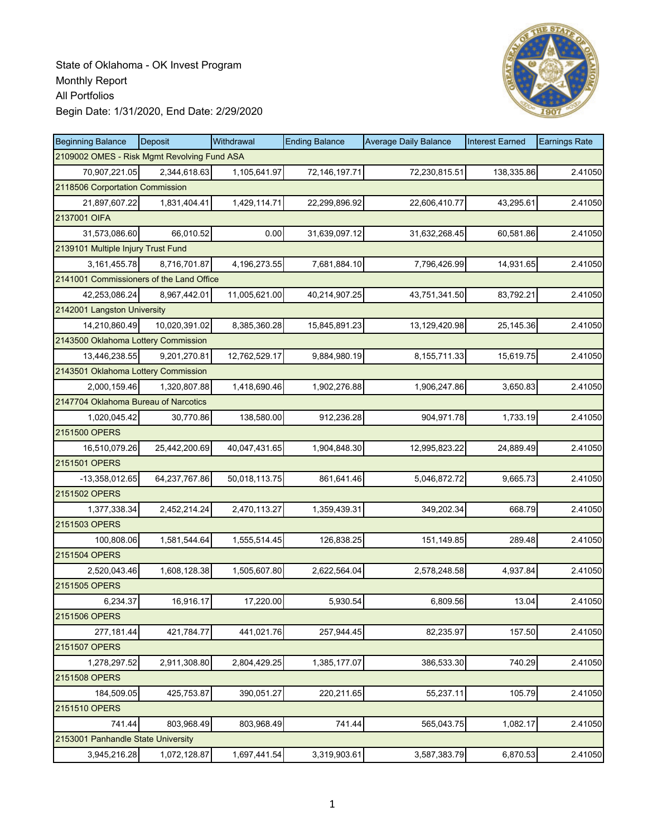

| <b>Beginning Balance</b>                    | <b>Deposit</b> | Withdrawal    | <b>Ending Balance</b> | <b>Average Daily Balance</b> | <b>Interest Earned</b> | <b>Earnings Rate</b> |
|---------------------------------------------|----------------|---------------|-----------------------|------------------------------|------------------------|----------------------|
| 2109002 OMES - Risk Mgmt Revolving Fund ASA |                |               |                       |                              |                        |                      |
| 70,907,221.05                               | 2,344,618.63   | 1,105,641.97  | 72,146,197.71         | 72,230,815.51                | 138,335.86             | 2.41050              |
| 2118506 Corportation Commission             |                |               |                       |                              |                        |                      |
| 21,897,607.22                               | 1,831,404.41   | 1,429,114.71  | 22,299,896.92         | 22,606,410.77                | 43,295.61              | 2.41050              |
| 2137001 OIFA                                |                |               |                       |                              |                        |                      |
| 31,573,086.60                               | 66,010.52      | 0.00          | 31,639,097.12         | 31,632,268.45                | 60,581.86              | 2.41050              |
| 2139101 Multiple Injury Trust Fund          |                |               |                       |                              |                        |                      |
| 3, 161, 455. 78                             | 8,716,701.87   | 4,196,273.55  | 7,681,884.10          | 7,796,426.99                 | 14,931.65              | 2.41050              |
| 2141001 Commissioners of the Land Office    |                |               |                       |                              |                        |                      |
| 42,253,086.24                               | 8,967,442.01   | 11,005,621.00 | 40,214,907.25         | 43,751,341.50                | 83,792.21              | 2.41050              |
| 2142001 Langston University                 |                |               |                       |                              |                        |                      |
| 14,210,860.49                               | 10,020,391.02  | 8,385,360.28  | 15,845,891.23         | 13,129,420.98                | 25,145.36              | 2.41050              |
| 2143500 Oklahoma Lottery Commission         |                |               |                       |                              |                        |                      |
| 13,446,238.55                               | 9,201,270.81   | 12,762,529.17 | 9,884,980.19          | 8,155,711.33                 | 15,619.75              | 2.41050              |
| 2143501 Oklahoma Lottery Commission         |                |               |                       |                              |                        |                      |
| 2,000,159.46                                | 1.320.807.88   | 1,418,690.46  | 1,902,276.88          | 1,906,247.86                 | 3,650.83               | 2.41050              |
| 2147704 Oklahoma Bureau of Narcotics        |                |               |                       |                              |                        |                      |
| 1,020,045.42                                | 30,770.86      | 138,580.00    | 912,236.28            | 904,971.78                   | 1,733.19               | 2.41050              |
| 2151500 OPERS                               |                |               |                       |                              |                        |                      |
| 16,510,079.26                               | 25,442,200.69  | 40,047,431.65 | 1,904,848.30          | 12,995,823.22                | 24,889.49              | 2.41050              |
| 2151501 OPERS                               |                |               |                       |                              |                        |                      |
| $-13,358,012.65$                            | 64,237,767.86  | 50,018,113.75 | 861,641.46            | 5,046,872.72                 | 9,665.73               | 2.41050              |
| 2151502 OPERS                               |                |               |                       |                              |                        |                      |
| 1,377,338.34                                | 2,452,214.24   | 2,470,113.27  | 1,359,439.31          | 349,202.34                   | 668.79                 | 2.41050              |
| 2151503 OPERS                               |                |               |                       |                              |                        |                      |
| 100,808.06                                  | 1,581,544.64   | 1,555,514.45  | 126,838.25            | 151,149.85                   | 289.48                 | 2.41050              |
| 2151504 OPERS                               |                |               |                       |                              |                        |                      |
| 2,520,043.46                                | 1,608,128.38   | 1,505,607.80  | 2,622,564.04          | 2,578,248.58                 | 4,937.84               | 2.41050              |
| 2151505 OPERS                               |                |               |                       |                              |                        |                      |
| 6,234.37                                    | 16,916.17      | 17,220.00     | 5,930.54              | 6,809.56                     | 13.04                  | 2.41050              |
| 2151506 OPERS                               |                |               |                       |                              |                        |                      |
| 277,181.44                                  | 421,784.77     | 441,021.76    | 257,944.45            | 82,235.97                    | 157.50                 | 2.41050              |
| 2151507 OPERS                               |                |               |                       |                              |                        |                      |
| 1,278,297.52                                | 2,911,308.80   | 2,804,429.25  | 1,385,177.07          | 386,533.30                   | 740.29                 | 2.41050              |
| 2151508 OPERS                               |                |               |                       |                              |                        |                      |
| 184,509.05                                  | 425,753.87     | 390,051.27    | 220,211.65            | 55,237.11                    | 105.79                 | 2.41050              |
| 2151510 OPERS                               |                |               |                       |                              |                        |                      |
| 741.44                                      | 803,968.49     | 803,968.49    | 741.44                | 565,043.75                   | 1,082.17               | 2.41050              |
| 2153001 Panhandle State University          |                |               |                       |                              |                        |                      |
| 3,945,216.28                                | 1,072,128.87   | 1,697,441.54  | 3,319,903.61          | 3,587,383.79                 | 6,870.53               | 2.41050              |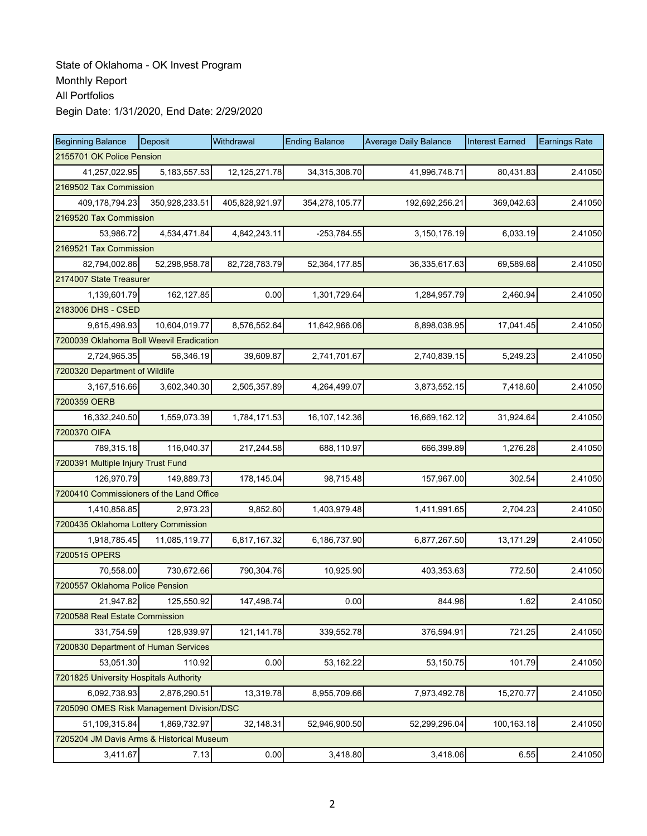| <b>Beginning Balance</b>                  | Deposit        | Withdrawal     | <b>Ending Balance</b> | <b>Average Daily Balance</b> | <b>Interest Earned</b> | <b>Earnings Rate</b> |  |  |  |
|-------------------------------------------|----------------|----------------|-----------------------|------------------------------|------------------------|----------------------|--|--|--|
| 2155701 OK Police Pension                 |                |                |                       |                              |                        |                      |  |  |  |
| 41,257,022.95                             | 5, 183, 557.53 | 12,125,271.78  | 34,315,308.70         | 41,996,748.71                | 80,431.83              | 2.41050              |  |  |  |
| 2169502 Tax Commission                    |                |                |                       |                              |                        |                      |  |  |  |
| 409,178,794.23                            | 350,928,233.51 | 405,828,921.97 | 354,278,105.77        | 192,692,256.21               | 369,042.63             | 2.41050              |  |  |  |
| 2169520 Tax Commission                    |                |                |                       |                              |                        |                      |  |  |  |
| 53,986.72                                 | 4,534,471.84   | 4,842,243.11   | $-253,784.55$         | 3,150,176.19                 | 6,033.19               | 2.41050              |  |  |  |
| 2169521 Tax Commission                    |                |                |                       |                              |                        |                      |  |  |  |
| 82,794,002.86                             | 52,298,958.78  | 82,728,783.79  | 52,364,177.85         | 36,335,617.63                | 69,589.68              | 2.41050              |  |  |  |
| 2174007 State Treasurer                   |                |                |                       |                              |                        |                      |  |  |  |
| 1,139,601.79                              | 162,127.85     | 0.00           | 1,301,729.64          | 1,284,957.79                 | 2,460.94               | 2.41050              |  |  |  |
| 2183006 DHS - CSED                        |                |                |                       |                              |                        |                      |  |  |  |
| 9,615,498.93                              | 10,604,019.77  | 8,576,552.64   | 11,642,966.06         | 8,898,038.95                 | 17,041.45              | 2.41050              |  |  |  |
| 7200039 Oklahoma Boll Weevil Eradication  |                |                |                       |                              |                        |                      |  |  |  |
| 2,724,965.35                              | 56,346.19      | 39,609.87      | 2,741,701.67          | 2,740,839.15                 | 5,249.23               | 2.41050              |  |  |  |
| 7200320 Department of Wildlife            |                |                |                       |                              |                        |                      |  |  |  |
| 3,167,516.66                              | 3,602,340.30   | 2,505,357.89   | 4,264,499.07          | 3,873,552.15                 | 7,418.60               | 2.41050              |  |  |  |
| 7200359 OERB                              |                |                |                       |                              |                        |                      |  |  |  |
| 16,332,240.50                             | 1,559,073.39   | 1,784,171.53   | 16, 107, 142. 36      | 16,669,162.12                | 31,924.64              | 2.41050              |  |  |  |
| 7200370 OIFA                              |                |                |                       |                              |                        |                      |  |  |  |
| 789,315.18                                | 116,040.37     | 217,244.58     | 688,110.97            | 666,399.89                   | 1,276.28               | 2.41050              |  |  |  |
| 7200391 Multiple Injury Trust Fund        |                |                |                       |                              |                        |                      |  |  |  |
| 126,970.79                                | 149,889.73     | 178,145.04     | 98,715.48             | 157,967.00                   | 302.54                 | 2.41050              |  |  |  |
| 7200410 Commissioners of the Land Office  |                |                |                       |                              |                        |                      |  |  |  |
| 1,410,858.85                              | 2,973.23       | 9,852.60       | 1,403,979.48          | 1,411,991.65                 | 2,704.23               | 2.41050              |  |  |  |
| 7200435 Oklahoma Lottery Commission       |                |                |                       |                              |                        |                      |  |  |  |
| 1,918,785.45                              | 11,085,119.77  | 6,817,167.32   | 6,186,737.90          | 6,877,267.50                 | 13,171.29              | 2.41050              |  |  |  |
| 7200515 OPERS                             |                |                |                       |                              |                        |                      |  |  |  |
| 70,558.00                                 | 730,672.66     | 790,304.76     | 10,925.90             | 403,353.63                   | 772.50                 | 2.41050              |  |  |  |
| 7200557 Oklahoma Police Pension           |                |                |                       |                              |                        |                      |  |  |  |
| 21,947.82                                 | 125,550.92     | 147,498.74     | 0.00                  | 844.96                       | 1.62                   | 2.41050              |  |  |  |
| 7200588 Real Estate Commission            |                |                |                       |                              |                        |                      |  |  |  |
| 331,754.59                                | 128,939.97     | 121,141.78     | 339,552.78            | 376,594.91                   | 721.25                 | 2.41050              |  |  |  |
| 7200830 Department of Human Services      |                |                |                       |                              |                        |                      |  |  |  |
| 53,051.30                                 | 110.92         | 0.00           | 53,162.22             | 53,150.75                    | 101.79                 | 2.41050              |  |  |  |
| 7201825 University Hospitals Authority    |                |                |                       |                              |                        |                      |  |  |  |
| 6,092,738.93                              | 2,876,290.51   | 13,319.78      | 8,955,709.66          | 7,973,492.78                 | 15,270.77              | 2.41050              |  |  |  |
| 7205090 OMES Risk Management Division/DSC |                |                |                       |                              |                        |                      |  |  |  |
| 51,109,315.84                             | 1,869,732.97   | 32,148.31      | 52,946,900.50         | 52,299,296.04                | 100,163.18             | 2.41050              |  |  |  |
| 7205204 JM Davis Arms & Historical Museum |                |                |                       |                              |                        |                      |  |  |  |
| 3,411.67                                  | 7.13           | 0.00           | 3,418.80              | 3,418.06                     | 6.55                   | 2.41050              |  |  |  |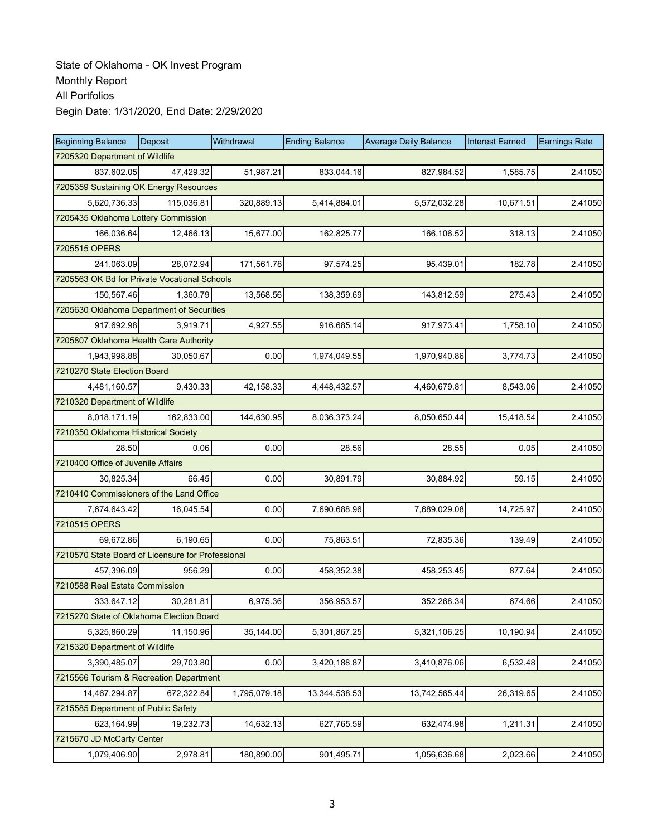| <b>Beginning Balance</b>                          | Deposit                             | Withdrawal   | <b>Ending Balance</b> | <b>Average Daily Balance</b> | <b>Interest Earned</b> | <b>Earnings Rate</b> |  |  |  |  |
|---------------------------------------------------|-------------------------------------|--------------|-----------------------|------------------------------|------------------------|----------------------|--|--|--|--|
| 7205320 Department of Wildlife                    |                                     |              |                       |                              |                        |                      |  |  |  |  |
| 837,602.05                                        | 47,429.32                           | 51,987.21    | 833,044.16            | 827,984.52                   | 1,585.75               | 2.41050              |  |  |  |  |
| 7205359 Sustaining OK Energy Resources            |                                     |              |                       |                              |                        |                      |  |  |  |  |
| 5,620,736.33                                      | 115,036.81                          | 320,889.13   | 5,414,884.01          | 5,572,032.28                 | 10,671.51              | 2.41050              |  |  |  |  |
|                                                   | 7205435 Oklahoma Lottery Commission |              |                       |                              |                        |                      |  |  |  |  |
| 166,036.64                                        | 12,466.13                           | 15,677.00    | 162,825.77            | 166,106.52                   | 318.13                 | 2.41050              |  |  |  |  |
| 7205515 OPERS                                     |                                     |              |                       |                              |                        |                      |  |  |  |  |
| 241,063.09                                        | 28,072.94                           | 171,561.78   | 97,574.25             | 95,439.01                    | 182.78                 | 2.41050              |  |  |  |  |
| 7205563 OK Bd for Private Vocational Schools      |                                     |              |                       |                              |                        |                      |  |  |  |  |
| 150,567.46                                        | 1,360.79                            | 13,568.56    | 138,359.69            | 143,812.59                   | 275.43                 | 2.41050              |  |  |  |  |
| 7205630 Oklahoma Department of Securities         |                                     |              |                       |                              |                        |                      |  |  |  |  |
| 917,692.98                                        | 3,919.71                            | 4,927.55     | 916,685.14            | 917,973.41                   | 1,758.10               | 2.41050              |  |  |  |  |
| 7205807 Oklahoma Health Care Authority            |                                     |              |                       |                              |                        |                      |  |  |  |  |
| 1,943,998.88                                      | 30,050.67                           | 0.00         | 1,974,049.55          | 1,970,940.86                 | 3,774.73               | 2.41050              |  |  |  |  |
| 7210270 State Election Board                      |                                     |              |                       |                              |                        |                      |  |  |  |  |
| 4,481,160.57                                      | 9,430.33                            | 42,158.33    | 4,448,432.57          | 4,460,679.81                 | 8,543.06               | 2.41050              |  |  |  |  |
| 7210320 Department of Wildlife                    |                                     |              |                       |                              |                        |                      |  |  |  |  |
| 8,018,171.19                                      | 162,833.00                          | 144,630.95   | 8,036,373.24          | 8,050,650.44                 | 15,418.54              | 2.41050              |  |  |  |  |
| 7210350 Oklahoma Historical Society               |                                     |              |                       |                              |                        |                      |  |  |  |  |
| 28.50                                             | 0.06                                | 0.00         | 28.56                 | 28.55                        | 0.05                   | 2.41050              |  |  |  |  |
| 7210400 Office of Juvenile Affairs                |                                     |              |                       |                              |                        |                      |  |  |  |  |
| 30,825.34                                         | 66.45                               | 0.00         | 30,891.79             | 30,884.92                    | 59.15                  | 2.41050              |  |  |  |  |
| 7210410 Commissioners of the Land Office          |                                     |              |                       |                              |                        |                      |  |  |  |  |
| 7,674,643.42                                      | 16,045.54                           | 0.00         | 7,690,688.96          | 7,689,029.08                 | 14,725.97              | 2.41050              |  |  |  |  |
| 7210515 OPERS                                     |                                     |              |                       |                              |                        |                      |  |  |  |  |
| 69,672.86                                         | 6,190.65                            | 0.00         | 75,863.51             | 72,835.36                    | 139.49                 | 2.41050              |  |  |  |  |
| 7210570 State Board of Licensure for Professional |                                     |              |                       |                              |                        |                      |  |  |  |  |
| 457,396.09                                        | 956.29                              | 0.00         | 458,352.38            | 458,253.45                   | 877.64                 | 2.41050              |  |  |  |  |
| 7210588 Real Estate Commission                    |                                     |              |                       |                              |                        |                      |  |  |  |  |
| 333,647.12                                        | 30,281.81                           | 6,975.36     | 356,953.57            | 352,268.34                   | 674.66                 | 2.41050              |  |  |  |  |
| 7215270 State of Oklahoma Election Board          |                                     |              |                       |                              |                        |                      |  |  |  |  |
| 5,325,860.29                                      | 11,150.96                           | 35,144.00    | 5,301,867.25          | 5,321,106.25                 | 10,190.94              | 2.41050              |  |  |  |  |
| 7215320 Department of Wildlife                    |                                     |              |                       |                              |                        |                      |  |  |  |  |
| 3,390,485.07                                      | 29,703.80                           | 0.00         | 3,420,188.87          | 3,410,876.06                 | 6,532.48               | 2.41050              |  |  |  |  |
| 7215566 Tourism & Recreation Department           |                                     |              |                       |                              |                        |                      |  |  |  |  |
| 14,467,294.87                                     | 672,322.84                          | 1,795,079.18 | 13,344,538.53         | 13,742,565.44                | 26,319.65              | 2.41050              |  |  |  |  |
| 7215585 Department of Public Safety               |                                     |              |                       |                              |                        |                      |  |  |  |  |
| 623,164.99                                        | 19,232.73                           | 14,632.13    | 627,765.59            | 632,474.98                   | 1,211.31               | 2.41050              |  |  |  |  |
| 7215670 JD McCarty Center                         |                                     |              |                       |                              |                        |                      |  |  |  |  |
| 1,079,406.90                                      | 2,978.81                            | 180,890.00   | 901,495.71            | 1,056,636.68                 | 2,023.66               | 2.41050              |  |  |  |  |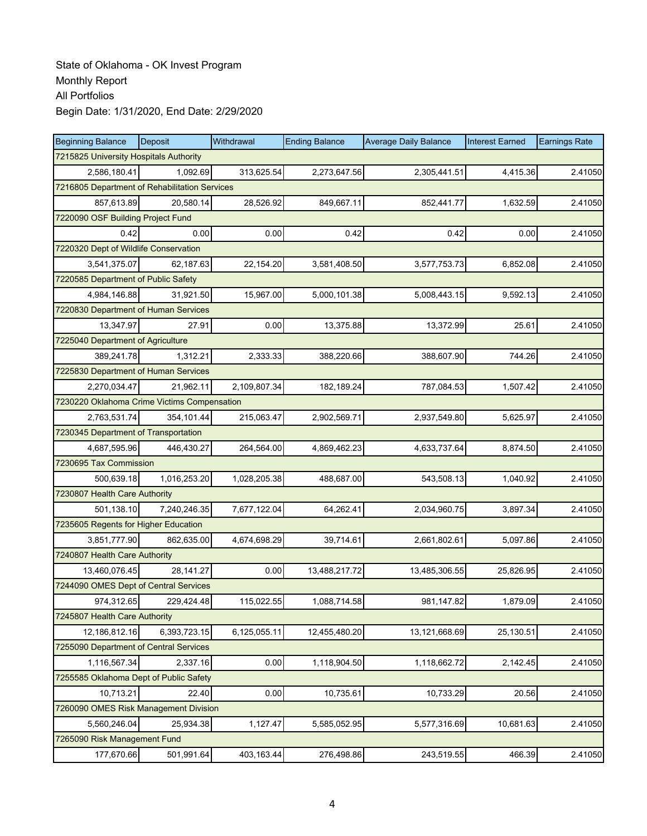| <b>Beginning Balance</b>                      | Deposit      | Withdrawal   | <b>Ending Balance</b> | <b>Average Daily Balance</b> | <b>Interest Earned</b> | <b>Earnings Rate</b> |  |  |  |
|-----------------------------------------------|--------------|--------------|-----------------------|------------------------------|------------------------|----------------------|--|--|--|
| 7215825 University Hospitals Authority        |              |              |                       |                              |                        |                      |  |  |  |
| 2,586,180.41                                  | 1.092.69     | 313,625.54   | 2,273,647.56          | 2,305,441.51                 | 4,415.36               | 2.41050              |  |  |  |
| 7216805 Department of Rehabilitation Services |              |              |                       |                              |                        |                      |  |  |  |
| 857,613.89                                    | 20,580.14    | 28,526.92    | 849,667.11            | 852,441.77                   | 1,632.59               | 2.41050              |  |  |  |
| 7220090 OSF Building Project Fund             |              |              |                       |                              |                        |                      |  |  |  |
| 0.42                                          | 0.00         | 0.00         | 0.42                  | 0.42                         | 0.00                   | 2.41050              |  |  |  |
| 7220320 Dept of Wildlife Conservation         |              |              |                       |                              |                        |                      |  |  |  |
| 3,541,375.07                                  | 62,187.63    | 22,154.20    | 3,581,408.50          | 3,577,753.73                 | 6,852.08               | 2.41050              |  |  |  |
| 7220585 Department of Public Safety           |              |              |                       |                              |                        |                      |  |  |  |
| 4,984,146.88                                  | 31,921.50    | 15,967.00    | 5,000,101.38          | 5,008,443.15                 | 9,592.13               | 2.41050              |  |  |  |
| 7220830 Department of Human Services          |              |              |                       |                              |                        |                      |  |  |  |
| 13,347.97                                     | 27.91        | 0.00         | 13,375.88             | 13,372.99                    | 25.61                  | 2.41050              |  |  |  |
| 7225040 Department of Agriculture             |              |              |                       |                              |                        |                      |  |  |  |
| 389,241.78                                    | 1,312.21     | 2,333.33     | 388,220.66            | 388,607.90                   | 744.26                 | 2.41050              |  |  |  |
| 7225830 Department of Human Services          |              |              |                       |                              |                        |                      |  |  |  |
| 2,270,034.47                                  | 21,962.11    | 2,109,807.34 | 182,189.24            | 787,084.53                   | 1,507.42               | 2.41050              |  |  |  |
| 7230220 Oklahoma Crime Victims Compensation   |              |              |                       |                              |                        |                      |  |  |  |
| 2,763,531.74                                  | 354,101.44   | 215,063.47   | 2,902,569.71          | 2,937,549.80                 | 5,625.97               | 2.41050              |  |  |  |
| 7230345 Department of Transportation          |              |              |                       |                              |                        |                      |  |  |  |
| 4,687,595.96                                  | 446,430.27   | 264,564.00   | 4,869,462.23          | 4,633,737.64                 | 8,874.50               | 2.41050              |  |  |  |
| 7230695 Tax Commission                        |              |              |                       |                              |                        |                      |  |  |  |
| 500,639.18                                    | 1,016,253.20 | 1,028,205.38 | 488,687.00            | 543,508.13                   | 1,040.92               | 2.41050              |  |  |  |
| 7230807 Health Care Authority                 |              |              |                       |                              |                        |                      |  |  |  |
| 501,138.10                                    | 7,240,246.35 | 7,677,122.04 | 64,262.41             | 2,034,960.75                 | 3,897.34               | 2.41050              |  |  |  |
| 7235605 Regents for Higher Education          |              |              |                       |                              |                        |                      |  |  |  |
| 3,851,777.90                                  | 862,635.00   | 4,674,698.29 | 39,714.61             | 2,661,802.61                 | 5,097.86               | 2.41050              |  |  |  |
| 7240807 Health Care Authority                 |              |              |                       |                              |                        |                      |  |  |  |
| 13,460,076.45                                 | 28,141.27    | 0.00         | 13,488,217.72         | 13,485,306.55                | 25,826.95              | 2.41050              |  |  |  |
| 7244090 OMES Dept of Central Services         |              |              |                       |                              |                        |                      |  |  |  |
| 974,312.65                                    | 229,424.48   | 115,022.55   | 1,088,714.58          | 981,147.82                   | 1,879.09               | 2.41050              |  |  |  |
| 7245807 Health Care Authority                 |              |              |                       |                              |                        |                      |  |  |  |
| 12,186,812.16                                 | 6,393,723.15 | 6,125,055.11 | 12,455,480.20         | 13,121,668.69                | 25,130.51              | 2.41050              |  |  |  |
| 7255090 Department of Central Services        |              |              |                       |                              |                        |                      |  |  |  |
| 1,116,567.34                                  | 2,337.16     | 0.00         | 1,118,904.50          | 1,118,662.72                 | 2,142.45               | 2.41050              |  |  |  |
| 7255585 Oklahoma Dept of Public Safety        |              |              |                       |                              |                        |                      |  |  |  |
| 10,713.21                                     | 22.40        | 0.00         | 10,735.61             | 10,733.29                    | 20.56                  | 2.41050              |  |  |  |
| 7260090 OMES Risk Management Division         |              |              |                       |                              |                        |                      |  |  |  |
| 5,560,246.04                                  | 25,934.38    | 1,127.47     | 5,585,052.95          | 5,577,316.69                 | 10,681.63              | 2.41050              |  |  |  |
| 7265090 Risk Management Fund                  |              |              |                       |                              |                        |                      |  |  |  |
| 177,670.66                                    | 501,991.64   | 403,163.44   | 276,498.86            | 243,519.55                   | 466.39                 | 2.41050              |  |  |  |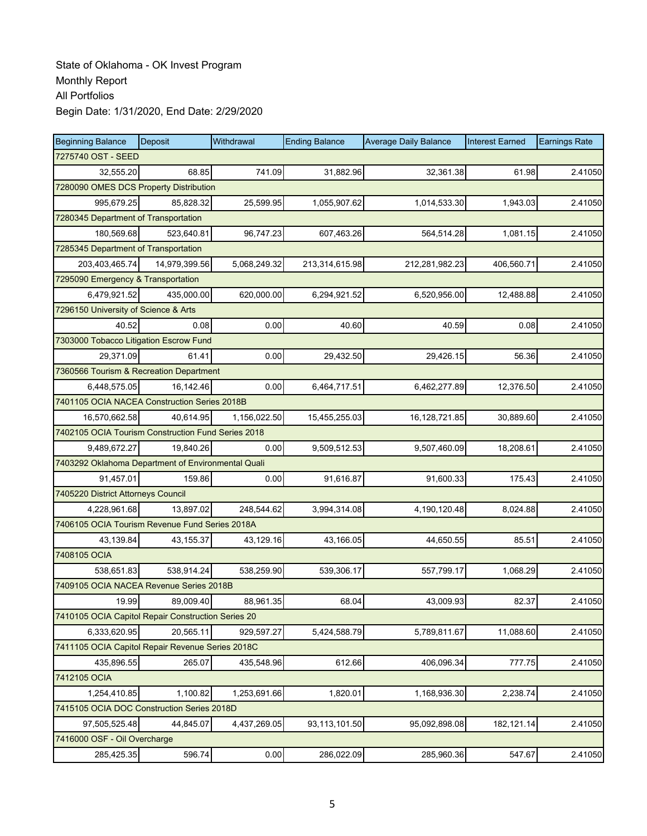| <b>Beginning Balance</b>                           | Deposit       | Withdrawal   | <b>Ending Balance</b> | <b>Average Daily Balance</b> | <b>Interest Earned</b> | <b>Earnings Rate</b> |  |  |  |
|----------------------------------------------------|---------------|--------------|-----------------------|------------------------------|------------------------|----------------------|--|--|--|
| 7275740 OST - SEED                                 |               |              |                       |                              |                        |                      |  |  |  |
| 32,555.20                                          | 68.85         | 741.09       | 31,882.96             | 32,361.38                    | 61.98                  | 2.41050              |  |  |  |
| 7280090 OMES DCS Property Distribution             |               |              |                       |                              |                        |                      |  |  |  |
| 995,679.25                                         | 85.828.32     | 25,599.95    | 1,055,907.62          | 1,014,533.30                 | 1,943.03               | 2.41050              |  |  |  |
| 7280345 Department of Transportation               |               |              |                       |                              |                        |                      |  |  |  |
| 180,569.68                                         | 523,640.81    | 96,747.23    | 607,463.26            | 564,514.28                   | 1,081.15               | 2.41050              |  |  |  |
| 7285345 Department of Transportation               |               |              |                       |                              |                        |                      |  |  |  |
| 203,403,465.74                                     | 14,979,399.56 | 5,068,249.32 | 213,314,615.98        | 212,281,982.23               | 406,560.71             | 2.41050              |  |  |  |
| 7295090 Emergency & Transportation                 |               |              |                       |                              |                        |                      |  |  |  |
| 6,479,921.52                                       | 435,000.00    | 620,000.00   | 6,294,921.52          | 6,520,956.00                 | 12,488.88              | 2.41050              |  |  |  |
| 7296150 University of Science & Arts               |               |              |                       |                              |                        |                      |  |  |  |
| 40.52                                              | 0.08          | 0.00         | 40.60                 | 40.59                        | 0.08                   | 2.41050              |  |  |  |
| 7303000 Tobacco Litigation Escrow Fund             |               |              |                       |                              |                        |                      |  |  |  |
| 29,371.09                                          | 61.41         | 0.00         | 29,432.50             | 29,426.15                    | 56.36                  | 2.41050              |  |  |  |
| 7360566 Tourism & Recreation Department            |               |              |                       |                              |                        |                      |  |  |  |
| 6,448,575.05                                       | 16,142.46     | 0.00         | 6,464,717.51          | 6,462,277.89                 | 12,376.50              | 2.41050              |  |  |  |
| 7401105 OCIA NACEA Construction Series 2018B       |               |              |                       |                              |                        |                      |  |  |  |
| 16,570,662.58                                      | 40,614.95     | 1,156,022.50 | 15,455,255.03         | 16,128,721.85                | 30,889.60              | 2.41050              |  |  |  |
| 7402105 OCIA Tourism Construction Fund Series 2018 |               |              |                       |                              |                        |                      |  |  |  |
| 9,489,672.27                                       | 19,840.26     | 0.00         | 9,509,512.53          | 9,507,460.09                 | 18,208.61              | 2.41050              |  |  |  |
| 7403292 Oklahoma Department of Environmental Quali |               |              |                       |                              |                        |                      |  |  |  |
| 91,457.01                                          | 159.86        | 0.00         | 91,616.87             | 91,600.33                    | 175.43                 | 2.41050              |  |  |  |
| 7405220 District Attorneys Council                 |               |              |                       |                              |                        |                      |  |  |  |
| 4,228,961.68                                       | 13,897.02     | 248,544.62   | 3,994,314.08          | 4,190,120.48                 | 8,024.88               | 2.41050              |  |  |  |
| 7406105 OCIA Tourism Revenue Fund Series 2018A     |               |              |                       |                              |                        |                      |  |  |  |
| 43,139.84                                          | 43, 155. 37   | 43,129.16    | 43,166.05             | 44,650.55                    | 85.51                  | 2.41050              |  |  |  |
| 7408105 OCIA                                       |               |              |                       |                              |                        |                      |  |  |  |
| 538.651.83                                         | 538,914.24    | 538,259.90   | 539,306.17            | 557,799.17                   | 1,068.29               | 2.41050              |  |  |  |
| 7409105 OCIA NACEA Revenue Series 2018B            |               |              |                       |                              |                        |                      |  |  |  |
| 19.99                                              | 89,009.40     | 88,961.35    | 68.04                 | 43,009.93                    | 82.37                  | 2.41050              |  |  |  |
| 7410105 OCIA Capitol Repair Construction Series 20 |               |              |                       |                              |                        |                      |  |  |  |
| 6,333,620.95                                       | 20,565.11     | 929,597.27   | 5,424,588.79          | 5,789,811.67                 | 11,088.60              | 2.41050              |  |  |  |
| 7411105 OCIA Capitol Repair Revenue Series 2018C   |               |              |                       |                              |                        |                      |  |  |  |
| 435,896.55                                         | 265.07        | 435,548.96   | 612.66                | 406,096.34                   | 777.75                 | 2.41050              |  |  |  |
| 7412105 OCIA                                       |               |              |                       |                              |                        |                      |  |  |  |
| 1,254,410.85                                       | 1,100.82      | 1,253,691.66 | 1,820.01              | 1,168,936.30                 | 2,238.74               | 2.41050              |  |  |  |
| 7415105 OCIA DOC Construction Series 2018D         |               |              |                       |                              |                        |                      |  |  |  |
| 97,505,525.48                                      | 44,845.07     | 4,437,269.05 | 93,113,101.50         | 95,092,898.08                | 182,121.14             | 2.41050              |  |  |  |
| 7416000 OSF - Oil Overcharge                       |               |              |                       |                              |                        |                      |  |  |  |
| 285,425.35                                         | 596.74        | 0.00         | 286,022.09            | 285,960.36                   | 547.67                 | 2.41050              |  |  |  |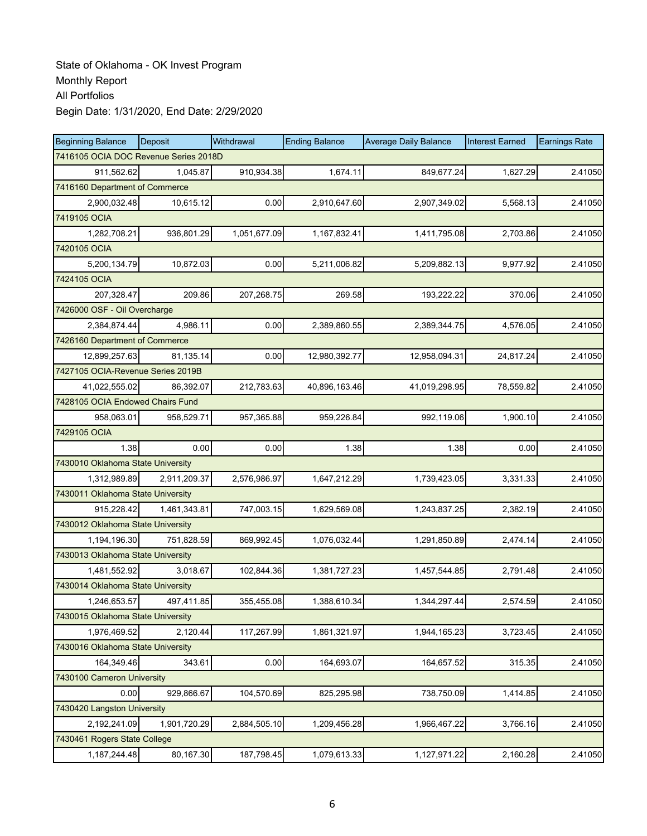| <b>Beginning Balance</b>              | Deposit      | Withdrawal   | <b>Ending Balance</b> | <b>Average Daily Balance</b> | <b>Interest Earned</b> | <b>Earnings Rate</b> |
|---------------------------------------|--------------|--------------|-----------------------|------------------------------|------------------------|----------------------|
| 7416105 OCIA DOC Revenue Series 2018D |              |              |                       |                              |                        |                      |
| 911,562.62                            | 1,045.87     | 910,934.38   | 1,674.11              | 849,677.24                   | 1,627.29               | 2.41050              |
| 7416160 Department of Commerce        |              |              |                       |                              |                        |                      |
| 2,900,032.48                          | 10,615.12    | 0.00         | 2,910,647.60          | 2,907,349.02                 | 5,568.13               | 2.41050              |
| 7419105 OCIA                          |              |              |                       |                              |                        |                      |
| 1,282,708.21                          | 936,801.29   | 1,051,677.09 | 1,167,832.41          | 1,411,795.08                 | 2,703.86               | 2.41050              |
| 7420105 OCIA                          |              |              |                       |                              |                        |                      |
| 5,200,134.79                          | 10,872.03    | 0.00         | 5,211,006.82          | 5,209,882.13                 | 9,977.92               | 2.41050              |
| 7424105 OCIA                          |              |              |                       |                              |                        |                      |
| 207,328.47                            | 209.86       | 207,268.75   | 269.58                | 193,222.22                   | 370.06                 | 2.41050              |
| 7426000 OSF - Oil Overcharge          |              |              |                       |                              |                        |                      |
| 2,384,874.44                          | 4,986.11     | 0.00         | 2,389,860.55          | 2,389,344.75                 | 4,576.05               | 2.41050              |
| 7426160 Department of Commerce        |              |              |                       |                              |                        |                      |
| 12,899,257.63                         | 81,135.14    | 0.00         | 12,980,392.77         | 12,958,094.31                | 24,817.24              | 2.41050              |
| 7427105 OCIA-Revenue Series 2019B     |              |              |                       |                              |                        |                      |
| 41,022,555.02                         | 86,392.07    | 212,783.63   | 40,896,163.46         | 41,019,298.95                | 78,559.82              | 2.41050              |
| 7428105 OCIA Endowed Chairs Fund      |              |              |                       |                              |                        |                      |
| 958.063.01                            | 958,529.71   | 957,365.88   | 959,226.84            | 992,119.06                   | 1,900.10               | 2.41050              |
| 7429105 OCIA                          |              |              |                       |                              |                        |                      |
| 1.38                                  | 0.00         | 0.00         | 1.38                  | 1.38                         | 0.00                   | 2.41050              |
| 7430010 Oklahoma State University     |              |              |                       |                              |                        |                      |
| 1,312,989.89                          | 2,911,209.37 | 2,576,986.97 | 1,647,212.29          | 1,739,423.05                 | 3,331.33               | 2.41050              |
| 7430011 Oklahoma State University     |              |              |                       |                              |                        |                      |
| 915,228.42                            | 1,461,343.81 | 747,003.15   | 1,629,569.08          | 1,243,837.25                 | 2,382.19               | 2.41050              |
| 7430012 Oklahoma State University     |              |              |                       |                              |                        |                      |
| 1,194,196.30                          | 751,828.59   | 869,992.45   | 1,076,032.44          | 1,291,850.89                 | 2,474.14               | 2.41050              |
| 7430013 Oklahoma State University     |              |              |                       |                              |                        |                      |
| 1,481,552.92                          | 3,018.67     | 102,844.36   | 1,381,727.23          | 1,457,544.85                 | 2,791.48               | 2.41050              |
| 7430014 Oklahoma State University     |              |              |                       |                              |                        |                      |
| 1,246,653.57                          | 497,411.85   | 355,455.08   | 1,388,610.34          | 1,344,297.44                 | 2,574.59               | 2.41050              |
| 7430015 Oklahoma State University     |              |              |                       |                              |                        |                      |
| 1,976,469.52                          | 2,120.44     | 117,267.99   | 1,861,321.97          | 1,944,165.23                 | 3,723.45               | 2.41050              |
| 7430016 Oklahoma State University     |              |              |                       |                              |                        |                      |
| 164,349.46                            | 343.61       | 0.00         | 164,693.07            | 164,657.52                   | 315.35                 | 2.41050              |
| 7430100 Cameron University            |              |              |                       |                              |                        |                      |
| 0.00                                  | 929,866.67   | 104,570.69   | 825,295.98            | 738,750.09                   | 1,414.85               | 2.41050              |
| 7430420 Langston University           |              |              |                       |                              |                        |                      |
| 2,192,241.09                          | 1,901,720.29 | 2,884,505.10 | 1,209,456.28          | 1,966,467.22                 | 3,766.16               | 2.41050              |
| 7430461 Rogers State College          |              |              |                       |                              |                        |                      |
| 1,187,244.48                          | 80,167.30    | 187,798.45   | 1,079,613.33          | 1,127,971.22                 | 2,160.28               | 2.41050              |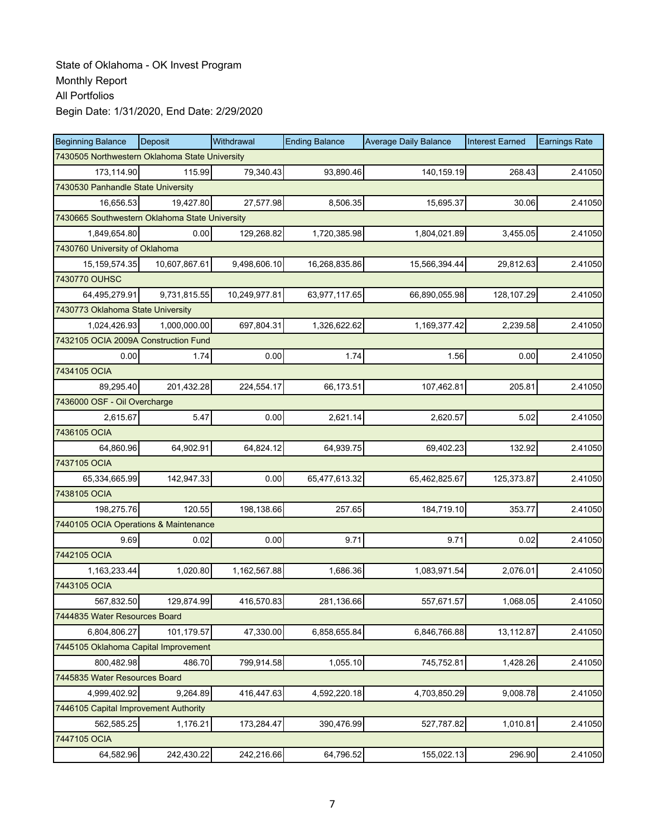| <b>Beginning Balance</b>                       | <b>Deposit</b>                                 | Withdrawal    | <b>Ending Balance</b> | <b>Average Daily Balance</b> | <b>Interest Earned</b> | <b>Earnings Rate</b> |  |  |  |  |
|------------------------------------------------|------------------------------------------------|---------------|-----------------------|------------------------------|------------------------|----------------------|--|--|--|--|
| 7430505 Northwestern Oklahoma State University |                                                |               |                       |                              |                        |                      |  |  |  |  |
| 173.114.90                                     | 115.99                                         | 79,340.43     | 93.890.46             | 140,159.19                   | 268.43                 | 2.41050              |  |  |  |  |
| 7430530 Panhandle State University             |                                                |               |                       |                              |                        |                      |  |  |  |  |
| 16,656.53                                      | 19,427.80                                      | 27,577.98     | 8,506.35              | 15,695.37                    | 30.06                  | 2.41050              |  |  |  |  |
|                                                | 7430665 Southwestern Oklahoma State University |               |                       |                              |                        |                      |  |  |  |  |
| 1,849,654.80                                   | 0.00                                           | 129,268.82    | 1,720,385.98          | 1,804,021.89                 | 3,455.05               | 2.41050              |  |  |  |  |
| 7430760 University of Oklahoma                 |                                                |               |                       |                              |                        |                      |  |  |  |  |
| 15, 159, 574. 35                               | 10,607,867.61                                  | 9,498,606.10  | 16,268,835.86         | 15,566,394.44                | 29,812.63              | 2.41050              |  |  |  |  |
| 7430770 OUHSC                                  |                                                |               |                       |                              |                        |                      |  |  |  |  |
| 64,495,279.91                                  | 9,731,815.55                                   | 10,249,977.81 | 63,977,117.65         | 66,890,055.98                | 128,107.29             | 2.41050              |  |  |  |  |
| 7430773 Oklahoma State University              |                                                |               |                       |                              |                        |                      |  |  |  |  |
| 1,024,426.93                                   | 1,000,000.00                                   | 697,804.31    | 1,326,622.62          | 1,169,377.42                 | 2,239.58               | 2.41050              |  |  |  |  |
| 7432105 OCIA 2009A Construction Fund           |                                                |               |                       |                              |                        |                      |  |  |  |  |
| 0.00                                           | 1.74                                           | 0.00          | 1.74                  | 1.56                         | 0.00                   | 2.41050              |  |  |  |  |
| 7434105 OCIA                                   |                                                |               |                       |                              |                        |                      |  |  |  |  |
| 89,295.40                                      | 201,432.28                                     | 224,554.17    | 66,173.51             | 107,462.81                   | 205.81                 | 2.41050              |  |  |  |  |
| 7436000 OSF - Oil Overcharge                   |                                                |               |                       |                              |                        |                      |  |  |  |  |
| 2,615.67                                       | 5.47                                           | 0.00          | 2,621.14              | 2,620.57                     | 5.02                   | 2.41050              |  |  |  |  |
| 7436105 OCIA                                   |                                                |               |                       |                              |                        |                      |  |  |  |  |
| 64,860.96                                      | 64,902.91                                      | 64,824.12     | 64,939.75             | 69,402.23                    | 132.92                 | 2.41050              |  |  |  |  |
| 7437105 OCIA                                   |                                                |               |                       |                              |                        |                      |  |  |  |  |
| 65,334,665.99                                  | 142,947.33                                     | 0.00          | 65,477,613.32         | 65,462,825.67                | 125,373.87             | 2.41050              |  |  |  |  |
| 7438105 OCIA                                   |                                                |               |                       |                              |                        |                      |  |  |  |  |
| 198,275.76                                     | 120.55                                         | 198,138.66    | 257.65                | 184,719.10                   | 353.77                 | 2.41050              |  |  |  |  |
| 7440105 OCIA Operations & Maintenance          |                                                |               |                       |                              |                        |                      |  |  |  |  |
| 9.69                                           | 0.02                                           | 0.00          | 9.71                  | 9.71                         | 0.02                   | 2.41050              |  |  |  |  |
| 7442105 OCIA                                   |                                                |               |                       |                              |                        |                      |  |  |  |  |
| 1,163,233.44                                   | 1,020.80                                       | 1,162,567.88  | 1,686.36              | 1,083,971.54                 | 2,076.01               | 2.41050              |  |  |  |  |
| 7443105 OCIA                                   |                                                |               |                       |                              |                        |                      |  |  |  |  |
| 567,832.50                                     | 129,874.99                                     | 416,570.83    | 281,136.66            | 557,671.57                   | 1,068.05               | 2.41050              |  |  |  |  |
| 7444835 Water Resources Board                  |                                                |               |                       |                              |                        |                      |  |  |  |  |
| 6,804,806.27                                   | 101,179.57                                     | 47,330.00     | 6,858,655.84          | 6,846,766.88                 | 13,112.87              | 2.41050              |  |  |  |  |
| 7445105 Oklahoma Capital Improvement           |                                                |               |                       |                              |                        |                      |  |  |  |  |
| 800,482.98                                     | 486.70                                         | 799,914.58    | 1,055.10              | 745,752.81                   | 1,428.26               | 2.41050              |  |  |  |  |
| 7445835 Water Resources Board                  |                                                |               |                       |                              |                        |                      |  |  |  |  |
| 4,999,402.92                                   | 9,264.89                                       | 416,447.63    | 4,592,220.18          | 4,703,850.29                 | 9,008.78               | 2.41050              |  |  |  |  |
| 7446105 Capital Improvement Authority          |                                                |               |                       |                              |                        |                      |  |  |  |  |
| 562,585.25                                     | 1,176.21                                       | 173,284.47    | 390,476.99            | 527,787.82                   | 1,010.81               | 2.41050              |  |  |  |  |
| 7447105 OCIA                                   |                                                |               |                       |                              |                        |                      |  |  |  |  |
| 64,582.96                                      | 242,430.22                                     | 242,216.66    | 64,796.52             | 155,022.13                   | 296.90                 | 2.41050              |  |  |  |  |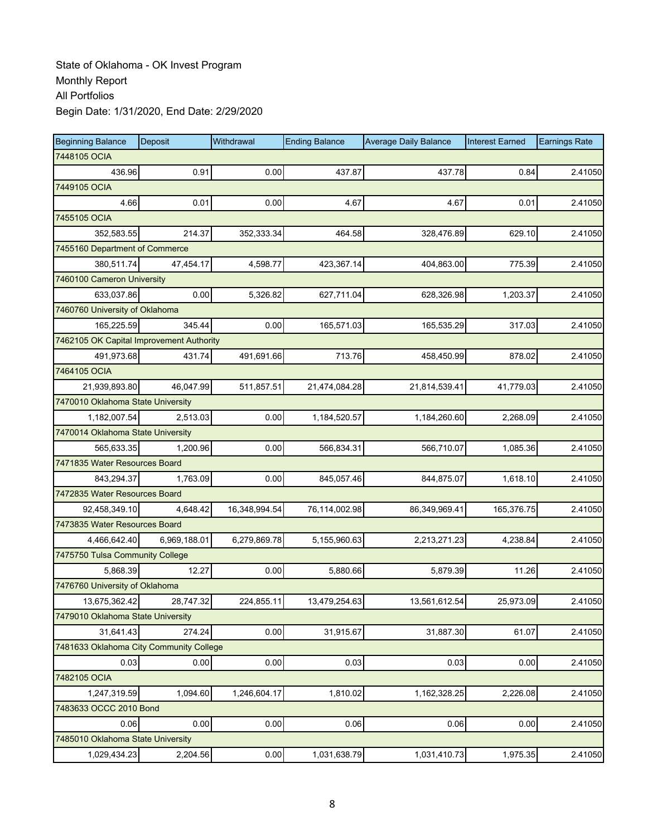| <b>Beginning Balance</b>                 | Deposit      | Withdrawal    | <b>Ending Balance</b> | <b>Average Daily Balance</b> | <b>Interest Earned</b> | <b>Earnings Rate</b> |
|------------------------------------------|--------------|---------------|-----------------------|------------------------------|------------------------|----------------------|
| 7448105 OCIA                             |              |               |                       |                              |                        |                      |
| 436.96                                   | 0.91         | 0.00          | 437.87                | 437.78                       | 0.84                   | 2.41050              |
| 7449105 OCIA                             |              |               |                       |                              |                        |                      |
| 4.66                                     | 0.01         | 0.00          | 4.67                  | 4.67                         | 0.01                   | 2.41050              |
| 7455105 OCIA                             |              |               |                       |                              |                        |                      |
| 352,583.55                               | 214.37       | 352,333.34    | 464.58                | 328,476.89                   | 629.10                 | 2.41050              |
| 7455160 Department of Commerce           |              |               |                       |                              |                        |                      |
| 380,511.74                               | 47,454.17    | 4,598.77      | 423,367.14            | 404,863.00                   | 775.39                 | 2.41050              |
| 7460100 Cameron University               |              |               |                       |                              |                        |                      |
| 633,037.86                               | 0.00         | 5,326.82      | 627,711.04            | 628,326.98                   | 1,203.37               | 2.41050              |
| 7460760 University of Oklahoma           |              |               |                       |                              |                        |                      |
| 165,225.59                               | 345.44       | 0.00          | 165,571.03            | 165,535.29                   | 317.03                 | 2.41050              |
| 7462105 OK Capital Improvement Authority |              |               |                       |                              |                        |                      |
| 491,973.68                               | 431.74       | 491,691.66    | 713.76                | 458,450.99                   | 878.02                 | 2.41050              |
| 7464105 OCIA                             |              |               |                       |                              |                        |                      |
| 21,939,893.80                            | 46,047.99    | 511,857.51    | 21,474,084.28         | 21,814,539.41                | 41,779.03              | 2.41050              |
| 7470010 Oklahoma State University        |              |               |                       |                              |                        |                      |
| 1,182,007.54                             | 2,513.03     | 0.00          | 1,184,520.57          | 1,184,260.60                 | 2.268.09               | 2.41050              |
| 7470014 Oklahoma State University        |              |               |                       |                              |                        |                      |
| 565,633.35                               | 1,200.96     | 0.00          | 566,834.31            | 566,710.07                   | 1,085.36               | 2.41050              |
| 7471835 Water Resources Board            |              |               |                       |                              |                        |                      |
| 843,294.37                               | 1,763.09     | 0.00          | 845,057.46            | 844,875.07                   | 1,618.10               | 2.41050              |
| 7472835 Water Resources Board            |              |               |                       |                              |                        |                      |
| 92,458,349.10                            | 4,648.42     | 16,348,994.54 | 76,114,002.98         | 86,349,969.41                | 165,376.75             | 2.41050              |
| 7473835 Water Resources Board            |              |               |                       |                              |                        |                      |
| 4,466,642.40                             | 6,969,188.01 | 6,279,869.78  | 5,155,960.63          | 2,213,271.23                 | 4,238.84               | 2.41050              |
| 7475750 Tulsa Community College          |              |               |                       |                              |                        |                      |
| 5,868.39                                 | 12.27        | 0.00          | 5,880.66              | 5,879.39                     | 11.26                  | 2.41050              |
| 7476760 University of Oklahoma           |              |               |                       |                              |                        |                      |
| 13,675,362.42                            | 28,747.32    | 224,855.11    | 13,479,254.63         | 13,561,612.54                | 25,973.09              | 2.41050              |
| 7479010 Oklahoma State University        |              |               |                       |                              |                        |                      |
| 31,641.43                                | 274.24       | 0.00          | 31,915.67             | 31,887.30                    | 61.07                  | 2.41050              |
| 7481633 Oklahoma City Community College  |              |               |                       |                              |                        |                      |
| 0.03                                     | 0.00         | 0.00          | 0.03                  | 0.03                         | 0.00                   | 2.41050              |
| 7482105 OCIA                             |              |               |                       |                              |                        |                      |
| 1,247,319.59                             | 1,094.60     | 1,246,604.17  | 1,810.02              | 1,162,328.25                 | 2,226.08               | 2.41050              |
| 7483633 OCCC 2010 Bond                   |              |               |                       |                              |                        |                      |
| 0.06                                     | 0.00         | 0.00          | 0.06                  | 0.06                         | 0.00                   | 2.41050              |
| 7485010 Oklahoma State University        |              |               |                       |                              |                        |                      |
| 1,029,434.23                             | 2,204.56     | 0.00          | 1,031,638.79          | 1,031,410.73                 | 1,975.35               | 2.41050              |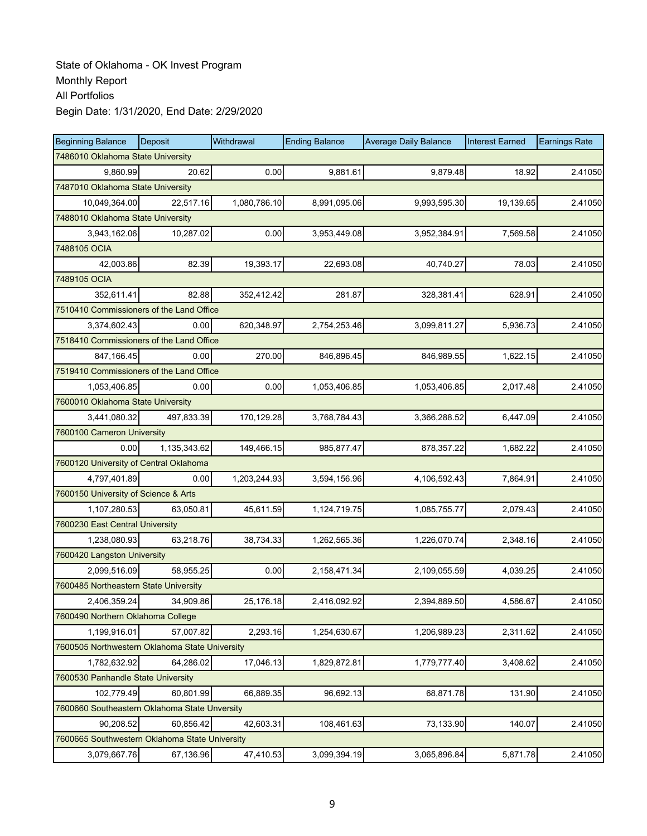| <b>Beginning Balance</b>                       | Deposit      | Withdrawal   | <b>Ending Balance</b> | <b>Average Daily Balance</b> | <b>Interest Earned</b> | <b>Earnings Rate</b> |
|------------------------------------------------|--------------|--------------|-----------------------|------------------------------|------------------------|----------------------|
| 7486010 Oklahoma State University              |              |              |                       |                              |                        |                      |
| 9.860.99                                       | 20.62        | 0.00         | 9,881.61              | 9,879.48                     | 18.92                  | 2.41050              |
| 7487010 Oklahoma State University              |              |              |                       |                              |                        |                      |
| 10,049,364.00                                  | 22,517.16    | 1,080,786.10 | 8,991,095.06          | 9,993,595.30                 | 19,139.65              | 2.41050              |
| 7488010 Oklahoma State University              |              |              |                       |                              |                        |                      |
| 3,943,162.06                                   | 10,287.02    | 0.00         | 3,953,449.08          | 3,952,384.91                 | 7,569.58               | 2.41050              |
| 7488105 OCIA                                   |              |              |                       |                              |                        |                      |
| 42,003.86                                      | 82.39        | 19,393.17    | 22,693.08             | 40,740.27                    | 78.03                  | 2.41050              |
| 7489105 OCIA                                   |              |              |                       |                              |                        |                      |
| 352,611.41                                     | 82.88        | 352,412.42   | 281.87                | 328,381.41                   | 628.91                 | 2.41050              |
| 7510410 Commissioners of the Land Office       |              |              |                       |                              |                        |                      |
| 3,374,602.43                                   | 0.00         | 620,348.97   | 2,754,253.46          | 3,099,811.27                 | 5,936.73               | 2.41050              |
| 7518410 Commissioners of the Land Office       |              |              |                       |                              |                        |                      |
| 847,166.45                                     | 0.00         | 270.00       | 846,896.45            | 846,989.55                   | 1,622.15               | 2.41050              |
| 7519410 Commissioners of the Land Office       |              |              |                       |                              |                        |                      |
| 1,053,406.85                                   | 0.00         | 0.00         | 1,053,406.85          | 1,053,406.85                 | 2,017.48               | 2.41050              |
| 7600010 Oklahoma State University              |              |              |                       |                              |                        |                      |
| 3,441,080.32                                   | 497.833.39   | 170,129.28   | 3,768,784.43          | 3,366,288.52                 | 6,447.09               | 2.41050              |
| 7600100 Cameron University                     |              |              |                       |                              |                        |                      |
| 0.00                                           | 1,135,343.62 | 149,466.15   | 985,877.47            | 878,357.22                   | 1,682.22               | 2.41050              |
| 7600120 University of Central Oklahoma         |              |              |                       |                              |                        |                      |
| 4,797,401.89                                   | 0.00         | 1,203,244.93 | 3,594,156.96          | 4,106,592.43                 | 7,864.91               | 2.41050              |
| 7600150 University of Science & Arts           |              |              |                       |                              |                        |                      |
| 1,107,280.53                                   | 63,050.81    | 45,611.59    | 1,124,719.75          | 1,085,755.77                 | 2,079.43               | 2.41050              |
| 7600230 East Central University                |              |              |                       |                              |                        |                      |
| 1,238,080.93                                   | 63,218.76    | 38,734.33    | 1,262,565.36          | 1,226,070.74                 | 2,348.16               | 2.41050              |
| 7600420 Langston University                    |              |              |                       |                              |                        |                      |
| 2,099,516.09                                   | 58,955.25    | 0.00         | 2,158,471.34          | 2,109,055.59                 | 4,039.25               | 2.41050              |
| 7600485 Northeastern State University          |              |              |                       |                              |                        |                      |
| 2,406,359.24                                   | 34,909.86    | 25,176.18    | 2,416,092.92          | 2,394,889.50                 | 4,586.67               | 2.41050              |
| 7600490 Northern Oklahoma College              |              |              |                       |                              |                        |                      |
| 1,199,916.01                                   | 57,007.82    | 2,293.16     | 1,254,630.67          | 1,206,989.23                 | 2,311.62               | 2.41050              |
| 7600505 Northwestern Oklahoma State University |              |              |                       |                              |                        |                      |
| 1,782,632.92                                   | 64,286.02    | 17,046.13    | 1,829,872.81          | 1,779,777.40                 | 3,408.62               | 2.41050              |
| 7600530 Panhandle State University             |              |              |                       |                              |                        |                      |
| 102,779.49                                     | 60,801.99    | 66,889.35    | 96,692.13             | 68,871.78                    | 131.90                 | 2.41050              |
| 7600660 Southeastern Oklahoma State Unversity  |              |              |                       |                              |                        |                      |
| 90,208.52                                      | 60,856.42    | 42,603.31    | 108,461.63            | 73,133.90                    | 140.07                 | 2.41050              |
| 7600665 Southwestern Oklahoma State University |              |              |                       |                              |                        |                      |
| 3,079,667.76                                   | 67,136.96    | 47,410.53    | 3,099,394.19          | 3,065,896.84                 | 5,871.78               | 2.41050              |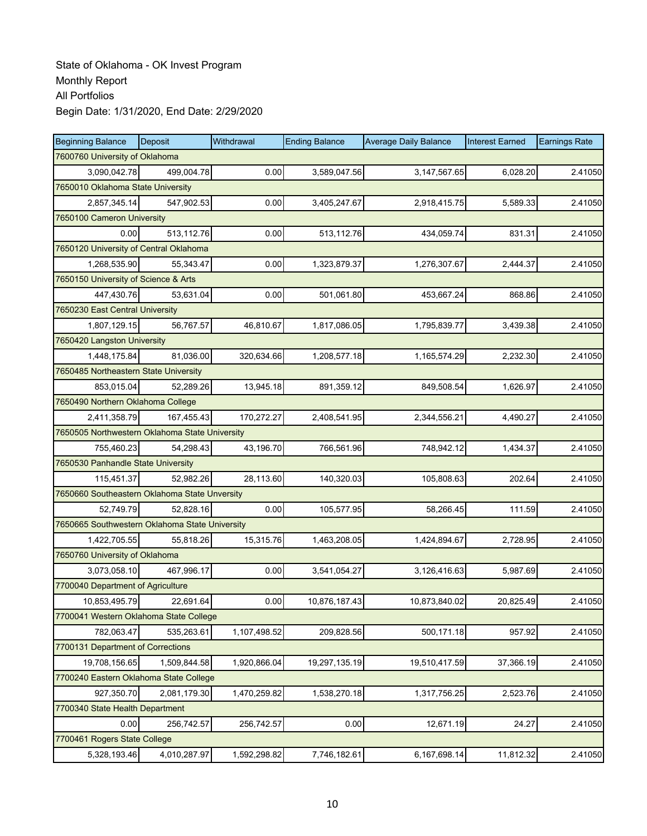| <b>Beginning Balance</b>                       | Deposit      | Withdrawal   | <b>Ending Balance</b> | <b>Average Daily Balance</b> | <b>Interest Earned</b> | <b>Earnings Rate</b> |
|------------------------------------------------|--------------|--------------|-----------------------|------------------------------|------------------------|----------------------|
| 7600760 University of Oklahoma                 |              |              |                       |                              |                        |                      |
| 3,090,042.78                                   | 499,004.78   | 0.00         | 3,589,047.56          | 3,147,567.65                 | 6,028.20               | 2.41050              |
| 7650010 Oklahoma State University              |              |              |                       |                              |                        |                      |
| 2,857,345.14                                   | 547,902.53   | 0.00         | 3,405,247.67          | 2,918,415.75                 | 5,589.33               | 2.41050              |
| 7650100 Cameron University                     |              |              |                       |                              |                        |                      |
| 0.00                                           | 513,112.76   | 0.00         | 513,112.76            | 434,059.74                   | 831.31                 | 2.41050              |
| 7650120 University of Central Oklahoma         |              |              |                       |                              |                        |                      |
| 1,268,535.90                                   | 55,343.47    | 0.00         | 1,323,879.37          | 1,276,307.67                 | 2,444.37               | 2.41050              |
| 7650150 University of Science & Arts           |              |              |                       |                              |                        |                      |
| 447,430.76                                     | 53,631.04    | 0.00         | 501,061.80            | 453,667.24                   | 868.86                 | 2.41050              |
| 7650230 East Central University                |              |              |                       |                              |                        |                      |
| 1,807,129.15                                   | 56,767.57    | 46,810.67    | 1,817,086.05          | 1,795,839.77                 | 3,439.38               | 2.41050              |
| 7650420 Langston University                    |              |              |                       |                              |                        |                      |
| 1,448,175.84                                   | 81,036.00    | 320,634.66   | 1,208,577.18          | 1,165,574.29                 | 2,232.30               | 2.41050              |
| 7650485 Northeastern State University          |              |              |                       |                              |                        |                      |
| 853,015.04                                     | 52,289.26    | 13,945.18    | 891,359.12            | 849,508.54                   | 1,626.97               | 2.41050              |
| 7650490 Northern Oklahoma College              |              |              |                       |                              |                        |                      |
| 2,411,358.79                                   | 167,455.43   | 170,272.27   | 2,408,541.95          | 2,344,556.21                 | 4,490.27               | 2.41050              |
| 7650505 Northwestern Oklahoma State University |              |              |                       |                              |                        |                      |
| 755,460.23                                     | 54,298.43    | 43,196.70    | 766,561.96            | 748,942.12                   | 1,434.37               | 2.41050              |
| 7650530 Panhandle State University             |              |              |                       |                              |                        |                      |
| 115,451.37                                     | 52,982.26    | 28,113.60    | 140,320.03            | 105,808.63                   | 202.64                 | 2.41050              |
| 7650660 Southeastern Oklahoma State Unversity  |              |              |                       |                              |                        |                      |
| 52,749.79                                      | 52,828.16    | 0.00         | 105,577.95            | 58,266.45                    | 111.59                 | 2.41050              |
| 7650665 Southwestern Oklahoma State University |              |              |                       |                              |                        |                      |
| 1,422,705.55                                   | 55,818.26    | 15,315.76    | 1,463,208.05          | 1,424,894.67                 | 2,728.95               | 2.41050              |
| 7650760 University of Oklahoma                 |              |              |                       |                              |                        |                      |
| 3,073,058.10                                   | 467,996.17   | 0.00         | 3,541,054.27          | 3,126,416.63                 | 5,987.69               | 2.41050              |
| 7700040 Department of Agriculture              |              |              |                       |                              |                        |                      |
| 10,853,495.79                                  | 22,691.64    | 0.00         | 10,876,187.43         | 10,873,840.02                | 20,825.49              | 2.41050              |
| 7700041 Western Oklahoma State College         |              |              |                       |                              |                        |                      |
| 782,063.47                                     | 535,263.61   | 1,107,498.52 | 209,828.56            | 500,171.18                   | 957.92                 | 2.41050              |
| 7700131 Department of Corrections              |              |              |                       |                              |                        |                      |
| 19,708,156.65                                  | 1,509,844.58 | 1,920,866.04 | 19,297,135.19         | 19,510,417.59                | 37,366.19              | 2.41050              |
| 7700240 Eastern Oklahoma State College         |              |              |                       |                              |                        |                      |
| 927,350.70                                     | 2,081,179.30 | 1,470,259.82 | 1,538,270.18          | 1,317,756.25                 | 2,523.76               | 2.41050              |
| 7700340 State Health Department                |              |              |                       |                              |                        |                      |
| 0.00                                           | 256,742.57   | 256,742.57   | 0.00                  | 12,671.19                    | 24.27                  | 2.41050              |
| 7700461 Rogers State College                   |              |              |                       |                              |                        |                      |
| 5,328,193.46                                   | 4,010,287.97 | 1,592,298.82 | 7,746,182.61          | 6,167,698.14                 | 11,812.32              | 2.41050              |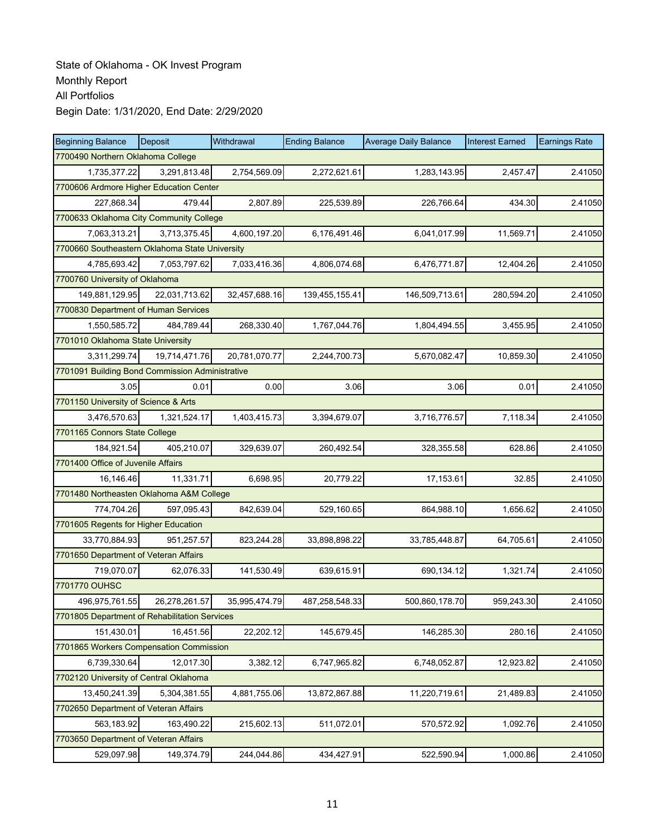| <b>Beginning Balance</b>                        | Deposit       | Withdrawal    | <b>Ending Balance</b> | <b>Average Daily Balance</b> | <b>Interest Earned</b> | <b>Earnings Rate</b> |  |  |
|-------------------------------------------------|---------------|---------------|-----------------------|------------------------------|------------------------|----------------------|--|--|
| 7700490 Northern Oklahoma College               |               |               |                       |                              |                        |                      |  |  |
| 1,735,377.22                                    | 3,291,813.48  | 2,754,569.09  | 2,272,621.61          | 1,283,143.95                 | 2,457.47               | 2.41050              |  |  |
| 7700606 Ardmore Higher Education Center         |               |               |                       |                              |                        |                      |  |  |
| 227,868.34                                      | 479.44        | 2,807.89      | 225,539.89            | 226,766.64                   | 434.30                 | 2.41050              |  |  |
| 7700633 Oklahoma City Community College         |               |               |                       |                              |                        |                      |  |  |
| 7,063,313.21                                    | 3,713,375.45  | 4,600,197.20  | 6,176,491.46          | 6,041,017.99                 | 11,569.71              | 2.41050              |  |  |
| 7700660 Southeastern Oklahoma State University  |               |               |                       |                              |                        |                      |  |  |
| 4,785,693.42                                    | 7,053,797.62  | 7,033,416.36  | 4,806,074.68          | 6,476,771.87                 | 12,404.26              | 2.41050              |  |  |
| 7700760 University of Oklahoma                  |               |               |                       |                              |                        |                      |  |  |
| 149,881,129.95                                  | 22,031,713.62 | 32,457,688.16 | 139,455,155.41        | 146,509,713.61               | 280,594.20             | 2.41050              |  |  |
| 7700830 Department of Human Services            |               |               |                       |                              |                        |                      |  |  |
| 1,550,585.72                                    | 484,789.44    | 268,330.40    | 1,767,044.76          | 1,804,494.55                 | 3,455.95               | 2.41050              |  |  |
| 7701010 Oklahoma State University               |               |               |                       |                              |                        |                      |  |  |
| 3,311,299.74                                    | 19,714,471.76 | 20,781,070.77 | 2,244,700.73          | 5,670,082.47                 | 10,859.30              | 2.41050              |  |  |
| 7701091 Building Bond Commission Administrative |               |               |                       |                              |                        |                      |  |  |
| 3.05                                            | 0.01          | 0.00          | 3.06                  | 3.06                         | 0.01                   | 2.41050              |  |  |
| 7701150 University of Science & Arts            |               |               |                       |                              |                        |                      |  |  |
| 3,476,570.63                                    | 1,321,524.17  | 1,403,415.73  | 3,394,679.07          | 3,716,776.57                 | 7,118.34               | 2.41050              |  |  |
| 7701165 Connors State College                   |               |               |                       |                              |                        |                      |  |  |
| 184,921.54                                      | 405,210.07    | 329,639.07    | 260,492.54            | 328,355.58                   | 628.86                 | 2.41050              |  |  |
| 7701400 Office of Juvenile Affairs              |               |               |                       |                              |                        |                      |  |  |
| 16,146.46                                       | 11,331.71     | 6,698.95      | 20,779.22             | 17,153.61                    | 32.85                  | 2.41050              |  |  |
| 7701480 Northeasten Oklahoma A&M College        |               |               |                       |                              |                        |                      |  |  |
| 774,704.26                                      | 597,095.43    | 842,639.04    | 529,160.65            | 864,988.10                   | 1,656.62               | 2.41050              |  |  |
| 7701605 Regents for Higher Education            |               |               |                       |                              |                        |                      |  |  |
| 33,770,884.93                                   | 951,257.57    | 823,244.28    | 33,898,898.22         | 33,785,448.87                | 64,705.61              | 2.41050              |  |  |
| 7701650 Department of Veteran Affairs           |               |               |                       |                              |                        |                      |  |  |
| 719,070.07                                      | 62,076.33     | 141,530.49    | 639,615.91            | 690,134.12                   | 1,321.74               | 2.41050              |  |  |
| 7701770 OUHSC                                   |               |               |                       |                              |                        |                      |  |  |
| 496,975,761.55                                  | 26,278,261.57 | 35,995,474.79 | 487,258,548.33        | 500,860,178.70               | 959,243.30             | 2.41050              |  |  |
| 7701805 Department of Rehabilitation Services   |               |               |                       |                              |                        |                      |  |  |
| 151,430.01                                      | 16,451.56     | 22,202.12     | 145,679.45            | 146,285.30                   | 280.16                 | 2.41050              |  |  |
| 7701865 Workers Compensation Commission         |               |               |                       |                              |                        |                      |  |  |
| 6,739,330.64                                    | 12,017.30     | 3,382.12      | 6,747,965.82          | 6,748,052.87                 | 12,923.82              | 2.41050              |  |  |
| 7702120 University of Central Oklahoma          |               |               |                       |                              |                        |                      |  |  |
| 13,450,241.39                                   | 5,304,381.55  | 4,881,755.06  | 13,872,867.88         | 11,220,719.61                | 21,489.83              | 2.41050              |  |  |
| 7702650 Department of Veteran Affairs           |               |               |                       |                              |                        |                      |  |  |
| 563,183.92                                      | 163,490.22    | 215,602.13    | 511,072.01            | 570,572.92                   | 1,092.76               | 2.41050              |  |  |
| 7703650 Department of Veteran Affairs           |               |               |                       |                              |                        |                      |  |  |
| 529,097.98                                      | 149,374.79    | 244,044.86    | 434,427.91            | 522,590.94                   | 1,000.86               | 2.41050              |  |  |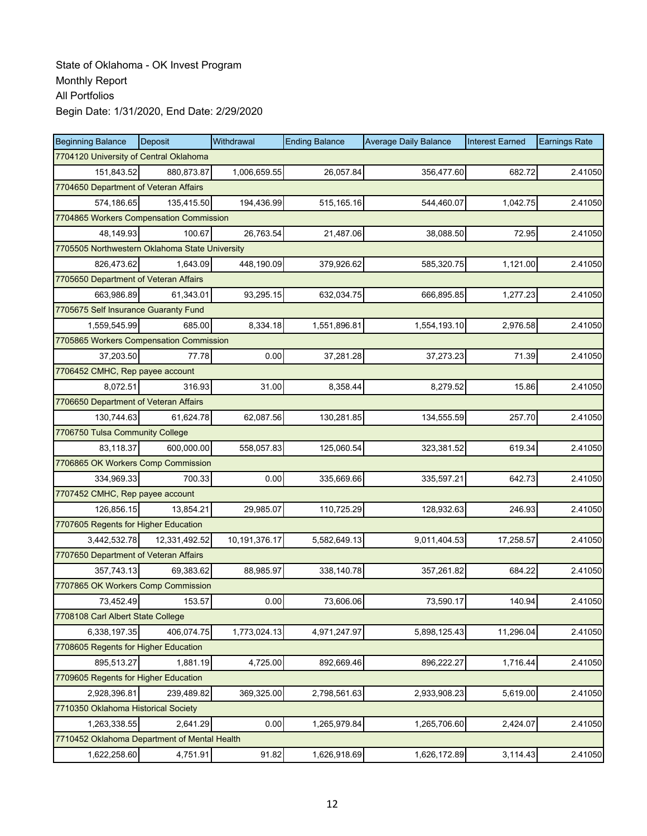| <b>Beginning Balance</b>                       | Deposit                                 | Withdrawal    | <b>Ending Balance</b> | <b>Average Daily Balance</b> | <b>Interest Earned</b> | <b>Earnings Rate</b> |  |  |  |  |
|------------------------------------------------|-----------------------------------------|---------------|-----------------------|------------------------------|------------------------|----------------------|--|--|--|--|
| 7704120 University of Central Oklahoma         |                                         |               |                       |                              |                        |                      |  |  |  |  |
| 151,843.52                                     | 880,873.87                              | 1,006,659.55  | 26,057.84             | 356,477.60                   | 682.72                 | 2.41050              |  |  |  |  |
| 7704650 Department of Veteran Affairs          |                                         |               |                       |                              |                        |                      |  |  |  |  |
| 574.186.65                                     | 135,415.50                              | 194,436.99    | 515,165.16            | 544,460.07                   | 1,042.75               | 2.41050              |  |  |  |  |
|                                                | 7704865 Workers Compensation Commission |               |                       |                              |                        |                      |  |  |  |  |
| 48,149.93                                      | 100.67                                  | 26,763.54     | 21,487.06             | 38,088.50                    | 72.95                  | 2.41050              |  |  |  |  |
| 7705505 Northwestern Oklahoma State University |                                         |               |                       |                              |                        |                      |  |  |  |  |
| 826,473.62                                     | 1,643.09                                | 448,190.09    | 379,926.62            | 585,320.75                   | 1,121.00               | 2.41050              |  |  |  |  |
| 7705650 Department of Veteran Affairs          |                                         |               |                       |                              |                        |                      |  |  |  |  |
| 663,986.89                                     | 61,343.01                               | 93,295.15     | 632,034.75            | 666,895.85                   | 1,277.23               | 2.41050              |  |  |  |  |
| 7705675 Self Insurance Guaranty Fund           |                                         |               |                       |                              |                        |                      |  |  |  |  |
| 1,559,545.99                                   | 685.00                                  | 8,334.18      | 1,551,896.81          | 1,554,193.10                 | 2,976.58               | 2.41050              |  |  |  |  |
| 7705865 Workers Compensation Commission        |                                         |               |                       |                              |                        |                      |  |  |  |  |
| 37,203.50                                      | 77.78                                   | 0.00          | 37,281.28             | 37,273.23                    | 71.39                  | 2.41050              |  |  |  |  |
| 7706452 CMHC, Rep payee account                |                                         |               |                       |                              |                        |                      |  |  |  |  |
| 8,072.51                                       | 316.93                                  | 31.00         | 8,358.44              | 8,279.52                     | 15.86                  | 2.41050              |  |  |  |  |
| 7706650 Department of Veteran Affairs          |                                         |               |                       |                              |                        |                      |  |  |  |  |
| 130,744.63                                     | 61.624.78                               | 62,087.56     | 130,281.85            | 134,555.59                   | 257.70                 | 2.41050              |  |  |  |  |
| 7706750 Tulsa Community College                |                                         |               |                       |                              |                        |                      |  |  |  |  |
| 83,118.37                                      | 600,000.00                              | 558,057.83    | 125,060.54            | 323,381.52                   | 619.34                 | 2.41050              |  |  |  |  |
| 7706865 OK Workers Comp Commission             |                                         |               |                       |                              |                        |                      |  |  |  |  |
| 334,969.33                                     | 700.33                                  | 0.00          | 335,669.66            | 335,597.21                   | 642.73                 | 2.41050              |  |  |  |  |
| 7707452 CMHC, Rep payee account                |                                         |               |                       |                              |                        |                      |  |  |  |  |
| 126,856.15                                     | 13,854.21                               | 29,985.07     | 110,725.29            | 128,932.63                   | 246.93                 | 2.41050              |  |  |  |  |
| 7707605 Regents for Higher Education           |                                         |               |                       |                              |                        |                      |  |  |  |  |
| 3,442,532.78                                   | 12,331,492.52                           | 10,191,376.17 | 5,582,649.13          | 9,011,404.53                 | 17,258.57              | 2.41050              |  |  |  |  |
| 7707650 Department of Veteran Affairs          |                                         |               |                       |                              |                        |                      |  |  |  |  |
| 357,743.13                                     | 69,383.62                               | 88,985.97     | 338,140.78            | 357,261.82                   | 684.22                 | 2.41050              |  |  |  |  |
| 7707865 OK Workers Comp Commission             |                                         |               |                       |                              |                        |                      |  |  |  |  |
| 73,452.49                                      | 153.57                                  | 0.00          | 73,606.06             | 73,590.17                    | 140.94                 | 2.41050              |  |  |  |  |
| 7708108 Carl Albert State College              |                                         |               |                       |                              |                        |                      |  |  |  |  |
| 6,338,197.35                                   | 406,074.75                              | 1,773,024.13  | 4,971,247.97          | 5,898,125.43                 | 11,296.04              | 2.41050              |  |  |  |  |
| 7708605 Regents for Higher Education           |                                         |               |                       |                              |                        |                      |  |  |  |  |
| 895,513.27                                     | 1,881.19                                | 4,725.00      | 892,669.46            | 896,222.27                   | 1,716.44               | 2.41050              |  |  |  |  |
| 7709605 Regents for Higher Education           |                                         |               |                       |                              |                        |                      |  |  |  |  |
| 2,928,396.81                                   | 239,489.82                              | 369,325.00    | 2,798,561.63          | 2,933,908.23                 | 5,619.00               | 2.41050              |  |  |  |  |
| 7710350 Oklahoma Historical Society            |                                         |               |                       |                              |                        |                      |  |  |  |  |
| 1,263,338.55                                   | 2,641.29                                | 0.00          | 1,265,979.84          | 1,265,706.60                 | 2,424.07               | 2.41050              |  |  |  |  |
| 7710452 Oklahoma Department of Mental Health   |                                         |               |                       |                              |                        |                      |  |  |  |  |
| 1,622,258.60                                   | 4,751.91                                | 91.82         | 1,626,918.69          | 1,626,172.89                 | 3,114.43               | 2.41050              |  |  |  |  |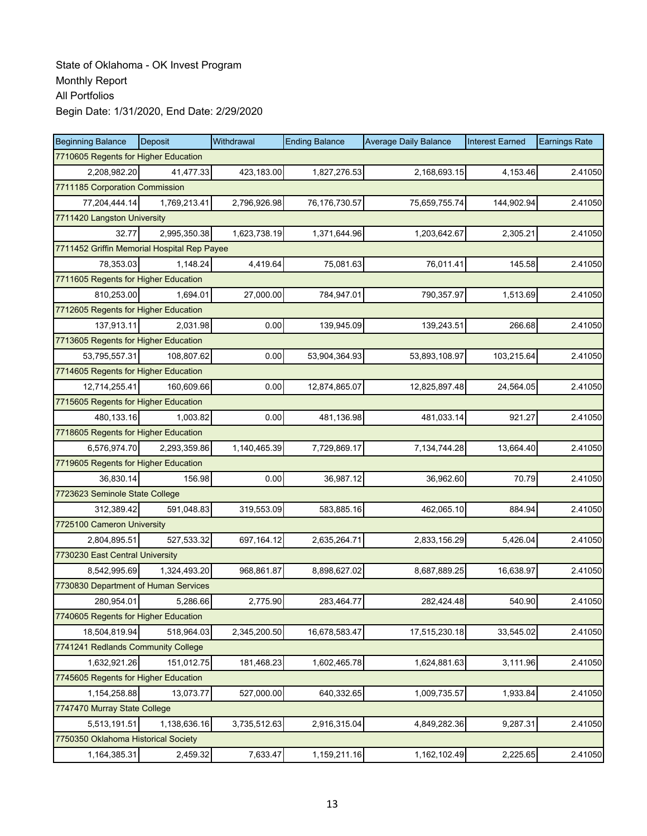| <b>Beginning Balance</b>                    | Deposit      | Withdrawal   | <b>Ending Balance</b> | <b>Average Daily Balance</b> | <b>Interest Earned</b> | <b>Earnings Rate</b> |  |  |
|---------------------------------------------|--------------|--------------|-----------------------|------------------------------|------------------------|----------------------|--|--|
| 7710605 Regents for Higher Education        |              |              |                       |                              |                        |                      |  |  |
| 2,208,982.20                                | 41,477.33    | 423,183.00   | 1,827,276.53          | 2,168,693.15                 | 4.153.46               | 2.41050              |  |  |
| 7711185 Corporation Commission              |              |              |                       |                              |                        |                      |  |  |
| 77,204,444.14                               | 1,769,213.41 | 2,796,926.98 | 76,176,730.57         | 75,659,755.74                | 144,902.94             | 2.41050              |  |  |
| 7711420 Langston University                 |              |              |                       |                              |                        |                      |  |  |
| 32.77                                       | 2,995,350.38 | 1,623,738.19 | 1,371,644.96          | 1,203,642.67                 | 2,305.21               | 2.41050              |  |  |
| 7711452 Griffin Memorial Hospital Rep Payee |              |              |                       |                              |                        |                      |  |  |
| 78,353.03                                   | 1,148.24     | 4,419.64     | 75,081.63             | 76,011.41                    | 145.58                 | 2.41050              |  |  |
| 7711605 Regents for Higher Education        |              |              |                       |                              |                        |                      |  |  |
| 810,253.00                                  | 1,694.01     | 27,000.00    | 784,947.01            | 790,357.97                   | 1,513.69               | 2.41050              |  |  |
| 7712605 Regents for Higher Education        |              |              |                       |                              |                        |                      |  |  |
| 137,913.11                                  | 2,031.98     | 0.00         | 139,945.09            | 139,243.51                   | 266.68                 | 2.41050              |  |  |
| 7713605 Regents for Higher Education        |              |              |                       |                              |                        |                      |  |  |
| 53,795,557.31                               | 108,807.62   | 0.00         | 53,904,364.93         | 53,893,108.97                | 103,215.64             | 2.41050              |  |  |
| 7714605 Regents for Higher Education        |              |              |                       |                              |                        |                      |  |  |
| 12,714,255.41                               | 160.609.66   | 0.00         | 12,874,865.07         | 12,825,897.48                | 24,564.05              | 2.41050              |  |  |
| 7715605 Regents for Higher Education        |              |              |                       |                              |                        |                      |  |  |
| 480.133.16                                  | 1,003.82     | 0.00         | 481,136.98            | 481,033.14                   | 921.27                 | 2.41050              |  |  |
| 7718605 Regents for Higher Education        |              |              |                       |                              |                        |                      |  |  |
| 6,576,974.70                                | 2,293,359.86 | 1,140,465.39 | 7,729,869.17          | 7,134,744.28                 | 13,664.40              | 2.41050              |  |  |
| 7719605 Regents for Higher Education        |              |              |                       |                              |                        |                      |  |  |
| 36,830.14                                   | 156.98       | 0.00         | 36,987.12             | 36,962.60                    | 70.79                  | 2.41050              |  |  |
| 7723623 Seminole State College              |              |              |                       |                              |                        |                      |  |  |
| 312,389.42                                  | 591,048.83   | 319,553.09   | 583,885.16            | 462,065.10                   | 884.94                 | 2.41050              |  |  |
| 7725100 Cameron University                  |              |              |                       |                              |                        |                      |  |  |
| 2,804,895.51                                | 527,533.32   | 697,164.12   | 2,635,264.71          | 2,833,156.29                 | 5,426.04               | 2.41050              |  |  |
| 7730230 East Central University             |              |              |                       |                              |                        |                      |  |  |
| 8,542,995.69                                | 1,324,493.20 | 968,861.87   | 8,898,627.02          | 8,687,889.25                 | 16,638.97              | 2.41050              |  |  |
| 7730830 Department of Human Services        |              |              |                       |                              |                        |                      |  |  |
| 280,954.01                                  | 5,286.66     | 2,775.90     | 283,464.77            | 282,424.48                   | 540.90                 | 2.41050              |  |  |
| 7740605 Regents for Higher Education        |              |              |                       |                              |                        |                      |  |  |
| 18,504,819.94                               | 518,964.03   | 2,345,200.50 | 16,678,583.47         | 17,515,230.18                | 33,545.02              | 2.41050              |  |  |
| 7741241 Redlands Community College          |              |              |                       |                              |                        |                      |  |  |
| 1,632,921.26                                | 151,012.75   | 181,468.23   | 1,602,465.78          | 1,624,881.63                 | 3,111.96               | 2.41050              |  |  |
| 7745605 Regents for Higher Education        |              |              |                       |                              |                        |                      |  |  |
| 1,154,258.88                                | 13,073.77    | 527,000.00   | 640,332.65            | 1,009,735.57                 | 1,933.84               | 2.41050              |  |  |
| 7747470 Murray State College                |              |              |                       |                              |                        |                      |  |  |
| 5,513,191.51                                | 1,138,636.16 | 3,735,512.63 | 2,916,315.04          | 4,849,282.36                 | 9,287.31               | 2.41050              |  |  |
| 7750350 Oklahoma Historical Society         |              |              |                       |                              |                        |                      |  |  |
| 1,164,385.31                                | 2,459.32     | 7,633.47     | 1,159,211.16          | 1,162,102.49                 | 2,225.65               | 2.41050              |  |  |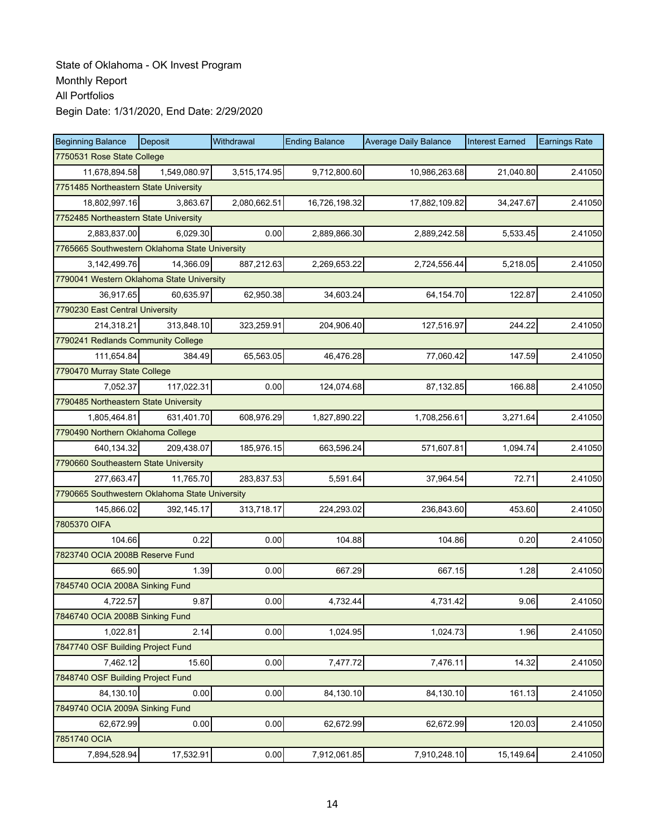| <b>Beginning Balance</b>                       | Deposit      | Withdrawal   | <b>Ending Balance</b> | <b>Average Daily Balance</b> | <b>Interest Earned</b> | <b>Earnings Rate</b> |  |  |
|------------------------------------------------|--------------|--------------|-----------------------|------------------------------|------------------------|----------------------|--|--|
| 7750531 Rose State College                     |              |              |                       |                              |                        |                      |  |  |
| 11,678,894.58                                  | 1,549,080.97 | 3,515,174.95 | 9,712,800.60          | 10,986,263.68                | 21,040.80              | 2.41050              |  |  |
| 7751485 Northeastern State University          |              |              |                       |                              |                        |                      |  |  |
| 18,802,997.16                                  | 3,863.67     | 2,080,662.51 | 16,726,198.32         | 17,882,109.82                | 34,247.67              | 2.41050              |  |  |
| 7752485 Northeastern State University          |              |              |                       |                              |                        |                      |  |  |
| 2,883,837.00                                   | 6,029.30     | 0.00         | 2,889,866.30          | 2,889,242.58                 | 5,533.45               | 2.41050              |  |  |
| 7765665 Southwestern Oklahoma State University |              |              |                       |                              |                        |                      |  |  |
| 3,142,499.76                                   | 14,366.09    | 887,212.63   | 2,269,653.22          | 2,724,556.44                 | 5,218.05               | 2.41050              |  |  |
| 7790041 Western Oklahoma State University      |              |              |                       |                              |                        |                      |  |  |
| 36,917.65                                      | 60,635.97    | 62,950.38    | 34,603.24             | 64,154.70                    | 122.87                 | 2.41050              |  |  |
| 7790230 East Central University                |              |              |                       |                              |                        |                      |  |  |
| 214,318.21                                     | 313,848.10   | 323,259.91   | 204,906.40            | 127,516.97                   | 244.22                 | 2.41050              |  |  |
| 7790241 Redlands Community College             |              |              |                       |                              |                        |                      |  |  |
| 111,654.84                                     | 384.49       | 65,563.05    | 46,476.28             | 77,060.42                    | 147.59                 | 2.41050              |  |  |
| 7790470 Murray State College                   |              |              |                       |                              |                        |                      |  |  |
| 7.052.37                                       | 117,022.31   | 0.00         | 124,074.68            | 87,132.85                    | 166.88                 | 2.41050              |  |  |
| 7790485 Northeastern State University          |              |              |                       |                              |                        |                      |  |  |
| 1,805,464.81                                   | 631,401.70   | 608,976.29   | 1,827,890.22          | 1,708,256.61                 | 3,271.64               | 2.41050              |  |  |
| 7790490 Northern Oklahoma College              |              |              |                       |                              |                        |                      |  |  |
| 640,134.32                                     | 209,438.07   | 185,976.15   | 663,596.24            | 571,607.81                   | 1,094.74               | 2.41050              |  |  |
| 7790660 Southeastern State University          |              |              |                       |                              |                        |                      |  |  |
| 277,663.47                                     | 11.765.70    | 283,837.53   | 5,591.64              | 37,964.54                    | 72.71                  | 2.41050              |  |  |
| 7790665 Southwestern Oklahoma State University |              |              |                       |                              |                        |                      |  |  |
| 145,866.02                                     | 392,145.17   | 313,718.17   | 224,293.02            | 236,843.60                   | 453.60                 | 2.41050              |  |  |
| 7805370 OIFA                                   |              |              |                       |                              |                        |                      |  |  |
| 104.66                                         | 0.22         | 0.00         | 104.88                | 104.86                       | 0.20                   | 2.41050              |  |  |
| 7823740 OCIA 2008B Reserve Fund                |              |              |                       |                              |                        |                      |  |  |
| 665.90                                         | 1.39         | 0.00         | 667.29                | 667.15                       | 1.28                   | 2.41050              |  |  |
| 7845740 OCIA 2008A Sinking Fund                |              |              |                       |                              |                        |                      |  |  |
| 4,722.57                                       | 9.87         | 0.00         | 4,732.44              | 4,731.42                     | 9.06                   | 2.41050              |  |  |
| 7846740 OCIA 2008B Sinking Fund                |              |              |                       |                              |                        |                      |  |  |
| 1,022.81                                       | 2.14         | 0.00         | 1,024.95              | 1,024.73                     | 1.96                   | 2.41050              |  |  |
| 7847740 OSF Building Project Fund              |              |              |                       |                              |                        |                      |  |  |
| 7,462.12                                       | 15.60        | 0.00         | 7,477.72              | 7,476.11                     | 14.32                  | 2.41050              |  |  |
| 7848740 OSF Building Project Fund              |              |              |                       |                              |                        |                      |  |  |
| 84,130.10                                      | 0.00         | 0.00         | 84,130.10             | 84,130.10                    | 161.13                 | 2.41050              |  |  |
| 7849740 OCIA 2009A Sinking Fund                |              |              |                       |                              |                        |                      |  |  |
| 62,672.99                                      | 0.00         | 0.00         | 62,672.99             | 62,672.99                    | 120.03                 | 2.41050              |  |  |
| 7851740 OCIA                                   |              |              |                       |                              |                        |                      |  |  |
| 7,894,528.94                                   | 17,532.91    | 0.00         | 7,912,061.85          | 7,910,248.10                 | 15,149.64              | 2.41050              |  |  |